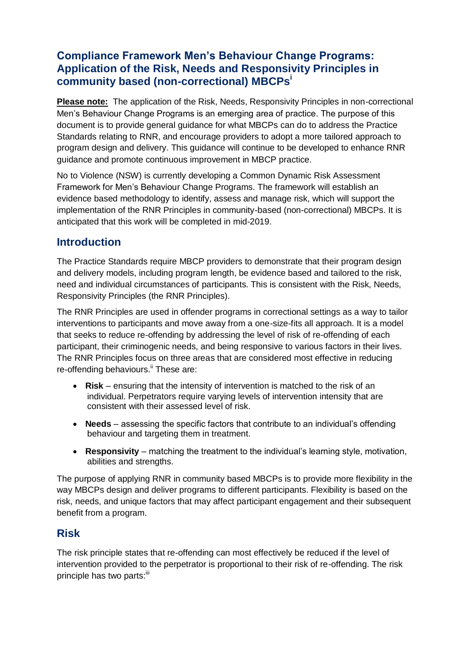# **Compliance Framework Men's Behaviour Change Programs: Application of the Risk, Needs and Responsivity Principles in community based (non-correctional) MBCPs<sup>i</sup>**

**Please note:** The application of the Risk, Needs, Responsivity Principles in non-correctional Men's Behaviour Change Programs is an emerging area of practice. The purpose of this document is to provide general guidance for what MBCPs can do to address the Practice Standards relating to RNR, and encourage providers to adopt a more tailored approach to program design and delivery. This guidance will continue to be developed to enhance RNR guidance and promote continuous improvement in MBCP practice.

No to Violence (NSW) is currently developing a Common Dynamic Risk Assessment Framework for Men's Behaviour Change Programs. The framework will establish an evidence based methodology to identify, assess and manage risk, which will support the implementation of the RNR Principles in community-based (non-correctional) MBCPs. It is anticipated that this work will be completed in mid-2019.

## **Introduction**

The Practice Standards require MBCP providers to demonstrate that their program design and delivery models, including program length, be evidence based and tailored to the risk, need and individual circumstances of participants. This is consistent with the Risk, Needs, Responsivity Principles (the RNR Principles).

The RNR Principles are used in offender programs in correctional settings as a way to tailor interventions to participants and move away from a one-size-fits all approach. It is a model that seeks to reduce re-offending by addressing the level of risk of re-offending of each participant, their criminogenic needs, and being responsive to various factors in their lives. The RNR Principles focus on three areas that are considered most effective in reducing re-offending behaviours.<sup>ii</sup> These are:

- **Risk** ensuring that the intensity of intervention is matched to the risk of an individual. Perpetrators require varying levels of intervention intensity that are consistent with their assessed level of risk.
- **Needs**  assessing the specific factors that contribute to an individual's offending behaviour and targeting them in treatment.
- **Responsivity** matching the treatment to the individual's learning style, motivation, abilities and strengths.

The purpose of applying RNR in community based MBCPs is to provide more flexibility in the way MBCPs design and deliver programs to different participants. Flexibility is based on the risk, needs, and unique factors that may affect participant engagement and their subsequent benefit from a program.

## **Risk**

The risk principle states that re-offending can most effectively be reduced if the level of intervention provided to the perpetrator is proportional to their risk of re-offending. The risk principle has two parts:<sup>iii</sup>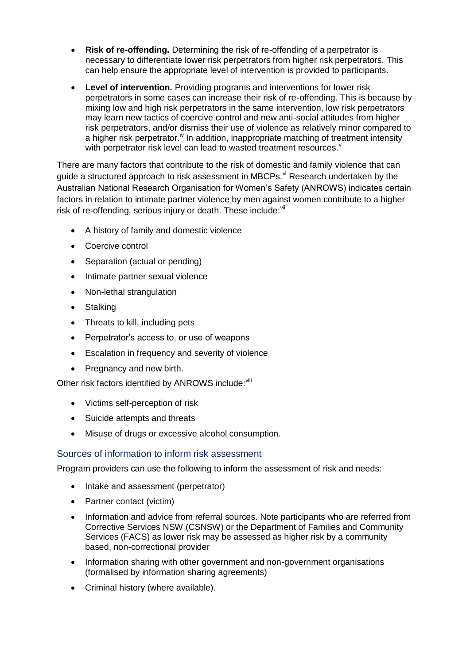- **Risk of re-offending.** Determining the risk of re-offending of a perpetrator is necessary to differentiate lower risk perpetrators from higher risk perpetrators. This can help ensure the appropriate level of intervention is provided to participants.
- **Level of intervention.** Providing programs and interventions for lower risk perpetrators in some cases can increase their risk of re-offending. This is because by mixing low and high risk perpetrators in the same intervention, low risk perpetrators may learn new tactics of coercive control and new anti-social attitudes from higher risk perpetrators, and/or dismiss their use of violence as relatively minor compared to a higher risk perpetrator.<sup>iv</sup> In addition, inappropriate matching of treatment intensity with perpetrator risk level can lead to wasted treatment resources.

There are many factors that contribute to the risk of domestic and family violence that can guide a structured approach to risk assessment in MBCPs.<sup>vi</sup> Research undertaken by the Australian National Research Organisation for Women's Safety (ANROWS) indicates certain factors in relation to intimate partner violence by men against women contribute to a higher risk of re-offending, serious injury or death. These include: vii

- A history of family and domestic violence
- Coercive control
- Separation (actual or pending)
- Intimate partner sexual violence
- Non-lethal strangulation
- Stalking
- Threats to kill, including pets
- Perpetrator's access to, or use of weapons
- Escalation in frequency and severity of violence
- Pregnancy and new birth.

Other risk factors identified by ANROWS include: Vili

- Victims self-perception of risk
- Suicide attempts and threats
- Misuse of drugs or excessive alcohol consumption.

#### Sources of information to inform risk assessment

Program providers can use the following to inform the assessment of risk and needs:

- Intake and assessment (perpetrator)
- Partner contact (victim)
- Information and advice from referral sources. Note participants who are referred from Corrective Services NSW (CSNSW) or the Department of Families and Community Services (FACS) as lower risk may be assessed as higher risk by a community based, non-correctional provider
- Information sharing with other government and non-government organisations (formalised by information sharing agreements)
- Criminal history (where available).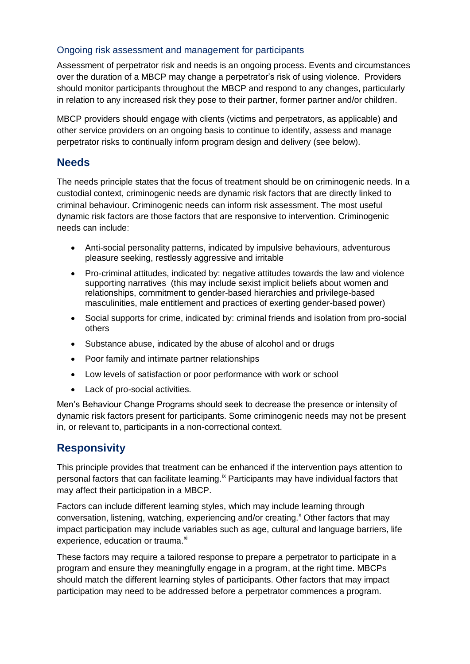#### Ongoing risk assessment and management for participants

Assessment of perpetrator risk and needs is an ongoing process. Events and circumstances over the duration of a MBCP may change a perpetrator's risk of using violence. Providers should monitor participants throughout the MBCP and respond to any changes, particularly in relation to any increased risk they pose to their partner, former partner and/or children.

MBCP providers should engage with clients (victims and perpetrators, as applicable) and other service providers on an ongoing basis to continue to identify, assess and manage perpetrator risks to continually inform program design and delivery (see below).

### **Needs**

The needs principle states that the focus of treatment should be on criminogenic needs. In a custodial context, criminogenic needs are dynamic risk factors that are directly linked to criminal behaviour. Criminogenic needs can inform risk assessment. The most useful dynamic risk factors are those factors that are responsive to intervention. Criminogenic needs can include:

- Anti-social personality patterns, indicated by impulsive behaviours, adventurous pleasure seeking, restlessly aggressive and irritable
- Pro-criminal attitudes, indicated by: negative attitudes towards the law and violence supporting narratives (this may include sexist implicit beliefs about women and relationships, commitment to gender-based hierarchies and privilege-based masculinities, male entitlement and practices of exerting gender-based power)
- Social supports for crime, indicated by: criminal friends and isolation from pro-social others
- Substance abuse, indicated by the abuse of alcohol and or drugs
- Poor family and intimate partner relationships
- Low levels of satisfaction or poor performance with work or school
- Lack of pro-social activities.

Men's Behaviour Change Programs should seek to decrease the presence or intensity of dynamic risk factors present for participants. Some criminogenic needs may not be present in, or relevant to, participants in a non-correctional context.

# **Responsivity**

This principle provides that treatment can be enhanced if the intervention pays attention to personal factors that can facilitate learning.<sup>ix</sup> Participants may have individual factors that may affect their participation in a MBCP.

Factors can include different learning styles, which may include learning through conversation, listening, watching, experiencing and/or creating.<sup>x</sup> Other factors that may impact participation may include variables such as age, cultural and language barriers, life experience, education or trauma.<sup>xi</sup>

These factors may require a tailored response to prepare a perpetrator to participate in a program and ensure they meaningfully engage in a program, at the right time. MBCPs should match the different learning styles of participants. Other factors that may impact participation may need to be addressed before a perpetrator commences a program.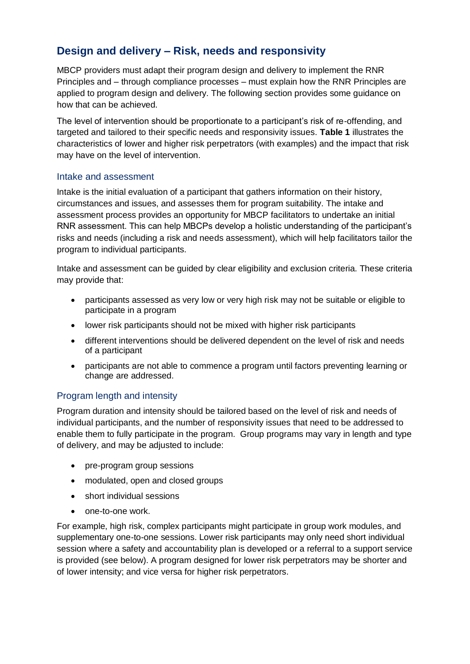# **Design and delivery – Risk, needs and responsivity**

MBCP providers must adapt their program design and delivery to implement the RNR Principles and – through compliance processes – must explain how the RNR Principles are applied to program design and delivery. The following section provides some guidance on how that can be achieved.

The level of intervention should be proportionate to a participant's risk of re-offending, and targeted and tailored to their specific needs and responsivity issues. **Table 1** illustrates the characteristics of lower and higher risk perpetrators (with examples) and the impact that risk may have on the level of intervention.

#### Intake and assessment

Intake is the initial evaluation of a participant that gathers information on their history, circumstances and issues, and assesses them for program suitability. The intake and assessment process provides an opportunity for MBCP facilitators to undertake an initial RNR assessment. This can help MBCPs develop a holistic understanding of the participant's risks and needs (including a risk and needs assessment), which will help facilitators tailor the program to individual participants.

Intake and assessment can be guided by clear eligibility and exclusion criteria. These criteria may provide that:

- participants assessed as very low or very high risk may not be suitable or eligible to participate in a program
- lower risk participants should not be mixed with higher risk participants
- different interventions should be delivered dependent on the level of risk and needs of a participant
- participants are not able to commence a program until factors preventing learning or change are addressed.

#### Program length and intensity

Program duration and intensity should be tailored based on the level of risk and needs of individual participants, and the number of responsivity issues that need to be addressed to enable them to fully participate in the program. Group programs may vary in length and type of delivery, and may be adjusted to include:

- pre-program group sessions
- modulated, open and closed groups
- short individual sessions
- one-to-one work.

For example, high risk, complex participants might participate in group work modules, and supplementary one-to-one sessions. Lower risk participants may only need short individual session where a safety and accountability plan is developed or a referral to a support service is provided (see below). A program designed for lower risk perpetrators may be shorter and of lower intensity; and vice versa for higher risk perpetrators.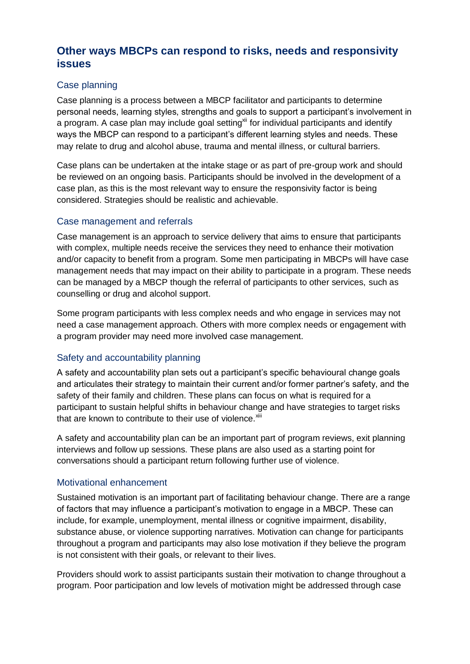## **Other ways MBCPs can respond to risks, needs and responsivity issues**

#### Case planning

Case planning is a process between a MBCP facilitator and participants to determine personal needs, learning styles, strengths and goals to support a participant's involvement in a program. A case plan may include goal setting<sup>xii</sup> for individual participants and identify ways the MBCP can respond to a participant's different learning styles and needs. These may relate to drug and alcohol abuse, trauma and mental illness, or cultural barriers.

Case plans can be undertaken at the intake stage or as part of pre-group work and should be reviewed on an ongoing basis. Participants should be involved in the development of a case plan, as this is the most relevant way to ensure the responsivity factor is being considered. Strategies should be realistic and achievable.

#### Case management and referrals

Case management is an approach to service delivery that aims to ensure that participants with complex, multiple needs receive the services they need to enhance their motivation and/or capacity to benefit from a program. Some men participating in MBCPs will have case management needs that may impact on their ability to participate in a program. These needs can be managed by a MBCP though the referral of participants to other services, such as counselling or drug and alcohol support.

Some program participants with less complex needs and who engage in services may not need a case management approach. Others with more complex needs or engagement with a program provider may need more involved case management.

#### Safety and accountability planning

A safety and accountability plan sets out a participant's specific behavioural change goals and articulates their strategy to maintain their current and/or former partner's safety, and the safety of their family and children. These plans can focus on what is required for a participant to sustain helpful shifts in behaviour change and have strategies to target risks that are known to contribute to their use of violence. Xiii

A safety and accountability plan can be an important part of program reviews, exit planning interviews and follow up sessions. These plans are also used as a starting point for conversations should a participant return following further use of violence.

#### Motivational enhancement

Sustained motivation is an important part of facilitating behaviour change. There are a range of factors that may influence a participant's motivation to engage in a MBCP. These can include, for example, unemployment, mental illness or cognitive impairment, disability, substance abuse, or violence supporting narratives. Motivation can change for participants throughout a program and participants may also lose motivation if they believe the program is not consistent with their goals, or relevant to their lives.

Providers should work to assist participants sustain their motivation to change throughout a program. Poor participation and low levels of motivation might be addressed through case